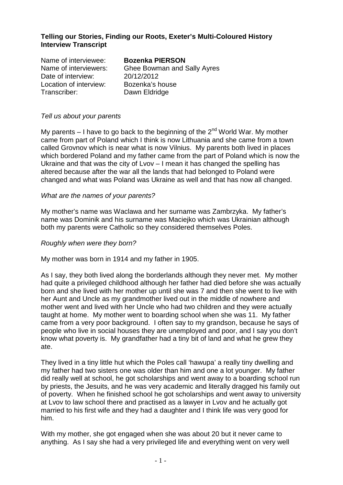### **Telling our Stories, Finding our Roots, Exeter's Multi-Coloured History Interview Transcript**

| Name of interviewee:   | <b>Bozenka PIERSON</b>             |
|------------------------|------------------------------------|
| Name of interviewers:  | <b>Ghee Bowman and Sally Ayres</b> |
| Date of interview:     | 20/12/2012                         |
| Location of interview: | Bozenka's house                    |
| Transcriber:           | Dawn Eldridge                      |

#### Tell us about your parents

My parents – I have to go back to the beginning of the  $2<sup>nd</sup>$  World War. My mother came from part of Poland which I think is now Lithuania and she came from a town called Grovnov which is near what is now Vilnius. My parents both lived in places which bordered Poland and my father came from the part of Poland which is now the Ukraine and that was the city of Lvov – I mean it has changed the spelling has altered because after the war all the lands that had belonged to Poland were changed and what was Poland was Ukraine as well and that has now all changed.

#### What are the names of your parents?

My mother's name was Waclawa and her surname was Zambrzyka. My father's name was Dominik and his surname was Maciejko which was Ukrainian although both my parents were Catholic so they considered themselves Poles.

#### Roughly when were they born?

My mother was born in 1914 and my father in 1905.

As I say, they both lived along the borderlands although they never met. My mother had quite a privileged childhood although her father had died before she was actually born and she lived with her mother up until she was 7 and then she went to live with her Aunt and Uncle as my grandmother lived out in the middle of nowhere and mother went and lived with her Uncle who had two children and they were actually taught at home. My mother went to boarding school when she was 11. My father came from a very poor background. I often say to my grandson, because he says of people who live in social houses they are unemployed and poor, and I say you don't know what poverty is. My grandfather had a tiny bit of land and what he grew they ate.

They lived in a tiny little hut which the Poles call 'hawupa' a really tiny dwelling and my father had two sisters one was older than him and one a lot younger. My father did really well at school, he got scholarships and went away to a boarding school run by priests, the Jesuits, and he was very academic and literally dragged his family out of poverty. When he finished school he got scholarships and went away to university at Lvov to law school there and practised as a lawyer in Lvov and he actually got married to his first wife and they had a daughter and I think life was very good for him.

With my mother, she got engaged when she was about 20 but it never came to anything. As I say she had a very privileged life and everything went on very well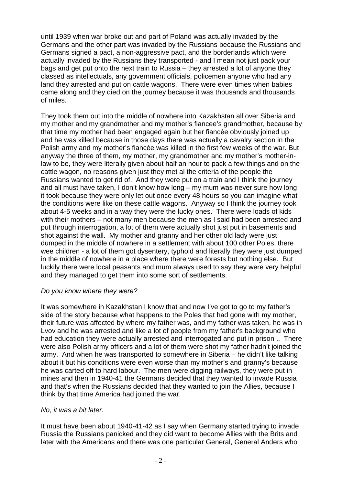until 1939 when war broke out and part of Poland was actually invaded by the Germans and the other part was invaded by the Russians because the Russians and Germans signed a pact, a non-aggressive pact, and the borderlands which were actually invaded by the Russians they transported - and I mean not just pack your bags and get put onto the next train to Russia – they arrested a lot of anyone they classed as intellectuals, any government officials, policemen anyone who had any land they arrested and put on cattle wagons. There were even times when babies came along and they died on the journey because it was thousands and thousands of miles.

They took them out into the middle of nowhere into Kazakhstan all over Siberia and my mother and my grandmother and my mother's fiancee's grandmother, because by that time my mother had been engaged again but her fiancée obviously joined up and he was killed because in those days there was actually a cavalry section in the Polish army and my mother's fiancée was killed in the first few weeks of the war. But anyway the three of them, my mother, my grandmother and my mother's mother-inlaw to be, they were literally given about half an hour to pack a few things and on the cattle wagon, no reasons given just they met al the criteria of the people the Russians wanted to get rid of. And they were put on a train and I think the journey and all must have taken, I don't know how long – my mum was never sure how long it took because they were only let out once every 48 hours so you can imagine what the conditions were like on these cattle wagons. Anyway so I think the journey took about 4-5 weeks and in a way they were the lucky ones. There were loads of kids with their mothers – not many men because the men as I said had been arrested and put through interrogation, a lot of them were actually shot just put in basements and shot against the wall. My mother and granny and her other old lady were just dumped in the middle of nowhere in a settlement with about 100 other Poles, there wee children - a lot of them got dysentery, typhoid and literally they were just dumped in the middle of nowhere in a place where there were forests but nothing else. But luckily there were local peasants and mum always used to say they were very helpful and they managed to get them into some sort of settlements.

### Do you know where they were?

It was somewhere in Kazakhstan I know that and now I've got to go to my father's side of the story because what happens to the Poles that had gone with my mother, their future was affected by where my father was, and my father was taken, he was in Lvov and he was arrested and like a lot of people from my father's background who had education they were actually arrested and interrogated and put in prison .. There were also Polish army officers and a lot of them were shot my father hadn't joined the army. And when he was transported to somewhere in Siberia – he didn't like talking about it but his conditions were even worse than my mother's and granny's because he was carted off to hard labour. The men were digging railways, they were put in mines and then in 1940-41 the Germans decided that they wanted to invade Russia and that's when the Russians decided that they wanted to join the Allies, because I think by that time America had joined the war.

### No, it was a bit later.

It must have been about 1940-41-42 as I say when Germany started trying to invade Russia the Russians panicked and they did want to become Allies with the Brits and later with the Americans and there was one particular General, General Anders who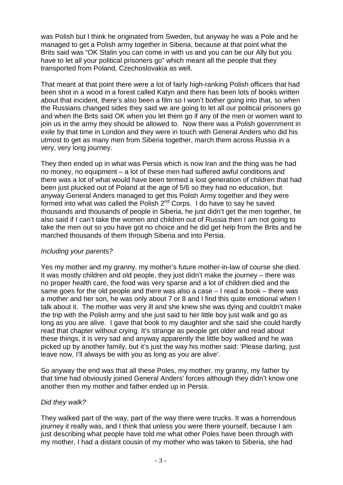was Polish but I think he originated from Sweden, but anyway he was a Pole and he managed to get a Polish army together in Siberia, because at that point what the Brits said was "OK Stalin you can come in with us and you can be our Ally but you have to let all your political prisoners go" which meant all the people that they transported from Poland, Czechoslovakia as well.

That meant at that point there were a lot of fairly high-ranking Polish officers that had been shot in a wood in a forest called Katyn and there has been lots of books written about that incident, there's also been a film so I won't bother going into that, so when the Russians changed sides they said we are going to let all our political prisoners go and when the Brits said OK when you let them go if any of the men or women want to join us in the army they should be allowed to. Now there was a Polish government in exile by that time in London and they were in touch with General Anders who did his utmost to get as many men from Siberia together, march them across Russia in a very, very long journey.

They then ended up in what was Persia which is now Iran and the thing was he had no money, no equipment – a lot of these men had suffered awful conditions and there was a lot of what would have been termed a lost generation of children that had been just plucked out of Poland at the age of 5/6 so they had no education, but anyway General Anders managed to get this Polish Army together and they were formed into what was called the Polish 2<sup>nd</sup> Corps. I do have to say he saved thousands and thousands of people in Siberia, he just didn't get the men together, he also said if I can't take the women and children out of Russia then I am not going to take the men out so you have got no choice and he did get help from the Brits and he marched thousands of them through Siberia and into Persia.

## Including your parents?

Yes my mother and my granny, my mother's future mother-in-law of course she died. It was mostly children and old people, they just didn't make the journey – there was no proper health care, the food was very sparse and a lot of children died and the same goes for the old people and there was also a case – I read a book – there was a mother and her son, he was only about 7 or 8 and I find this quite emotional when I talk about it. The mother was very ill and she knew she was dying and couldn't make the trip with the Polish army and she just said to her little boy just walk and go as long as you are alive. I gave that book to my daughter and she said she could hardly read that chapter without crying. It's strange as people get older and read about these things, it is very sad and anyway apparently the little boy walked and he was picked up by another family, but it's just the way his mother said: 'Please darling, just leave now, I'll always be with you as long as you are alive'.

So anyway the end was that all these Poles, my mother, my granny, my father by that time had obviously joined General Anders' forces although they didn't know one another then my mother and father ended up in Persia.

## Did they walk?

They walked part of the way, part of the way there were trucks. It was a horrendous journey it really was, and I think that unless you were there yourself, because I am just describing what people have told me what other Poles have been through with my mother, I had a distant cousin of my mother who was taken to Siberia, she had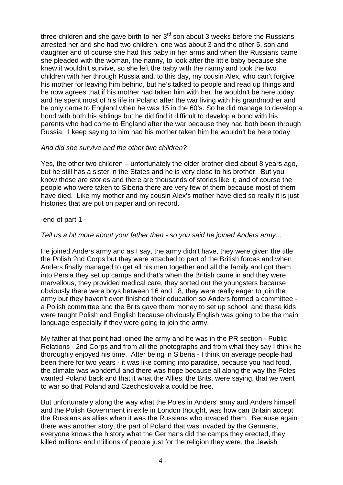three children and she gave birth to her  $3<sup>rd</sup>$  son about 3 weeks before the Russians arrested her and she had two children, one was about 3 and the other 5, son and daughter and of course she had this baby in her arms and when the Russians came she pleaded with the woman, the nanny, to look after the little baby because she knew it wouldn't survive, so she left the baby with the nanny and took the two children with her through Russia and, to this day, my cousin Alex, who can't forgive his mother for leaving him behind, but he's talked to people and read up things and he now agrees that if his mother had taken him with her, he wouldn't be here today and he spent most of his life in Poland after the war living with his grandmother and he only came to England when he was 15 in the 60's. So he did manage to develop a bond with both his siblings but he did find it difficult to develop a bond with his parents who had come to England after the war because they had both been through Russia. I keep saying to him had his mother taken him he wouldn't be here today.

### And did she survive and the other two children?

Yes, the other two children – unfortunately the older brother died about 8 years ago, but he still has a sister in the States and he is very close to his brother. But you know these are stories and there are thousands of stories like it, and of course the people who were taken to Siberia there are very few of them because most of them have died. Like my mother and my cousin Alex's mother have died so really it is just histories that are put on paper and on record.

### -end of part 1 -

### Tell us a bit more about your father then - so you said he joined Anders army...

He joined Anders army and as I say, the army didn't have, they were given the title the Polish 2nd Corps but they were attached to part of the British forces and when Anders finally managed to get all his men together and all the family and got them into Persia they set up camps and that's when the British came in and they were marvellous, they provided medical care, they sorted out the youngsters because obviously there were boys between 16 and 18, they were really eager to join the army but they haven't even finished their education so Anders formed a committee a Polish committee and the Brits gave them money to set up school and these kids were taught Polish and English because obviously English was going to be the main language especially if they were going to join the army.

My father at that point had joined the army and he was in the PR section - Public Relations - 2nd Corps and from all the photographs and from what they say I think he thoroughly enjoyed his time. After being in Siberia - I think on average people had been there for two years - it was like coming into paradise, because you had food, the climate was wonderful and there was hope because all along the way the Poles wanted Poland back and that it what the Allies, the Brits, were saying, that we went to war so that Poland and Czechoslovakia could be free.

But unfortunately along the way what the Poles in Anders' army and Anders himself and the Polish Government in exile in London thought, was how can Britain accept the Russians as allies when it was the Russians who invaded them. Because again there was another story, the part of Poland that was invaded by the Germans, everyone knows the history what the Germans did the camps they erected, they killed millions and millions of people just for the religion they were, the Jewish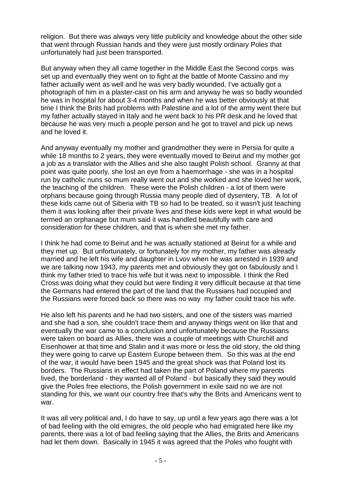religion. But there was always very little publicity and knowledge about the other side that went through Russian hands and they were just mostly ordinary Poles that unfortunately had just been transported.

But anyway when they all came together in the Middle East the Second corps was set up and eventually they went on to fight at the battle of Monte Cassino and my father actually went as well and he was very badly wounded, I've actually got a photograph of him in a plaster-cast on his arm and anyway he was so badly wounded he was in hospital for about 3-4 months and when he was better obviously at that time I think the Brits had problems with Palestine and a lot of the army went there but my father actually stayed in Italy and he went back to his PR desk and he loved that because he was very much a people person and he got to travel and pick up news and he loved it.

And anyway eventually my mother and grandmother they were in Persia for quite a while 18 months to 2 years, they were eventually moved to Beirut and my mother got a job as a translator with the Allies and she also taught Polish school. Granny at that point was quite poorly, she lost an eye from a haemorrhage - she was in a hospital run by catholic nuns so mum really went out and she worked and she loved her work, the teaching of the children. These were the Polish children - a lot of them were orphans because going through Russia many people died of dysentery, TB. A lot of these kids came out of Siberia with TB so had to be treated, so it wasn't just teaching them it was looking after their private lives and these kids were kept in what would be termed an orphanage but mum said it was handled beautifully with care and consideration for these children, and that is when she met my father.

I think he had come to Beirut and he was actually stationed at Beirut for a while and they met up. But unfortunately, or fortunately for my mother, my father was already married and he left his wife and daughter in Lvov when he was arrested in 1939 and we are talking now 1943, my parents met and obviously they got on fabulously and I think my father tried to trace his wife but it was next to impossible. I think the Red Cross was doing what they could but were finding it very difficult because at that time the Germans had entered the part of the land that the Russians had occupied and the Russians were forced back so there was no way my father could trace his wife.

He also left his parents and he had two sisters, and one of the sisters was married and she had a son, she couldn't trace them and anyway things went on like that and eventually the war came to a conclusion and unfortunately because the Russians were taken on board as Allies, there was a couple of meetings with Churchill and Eisenhower at that time and Stalin and it was more or less the old story, the old thing they were going to carve up Eastern Europe between them. So this was at the end of the war, it would have been 1945 and the great shock was that Poland lost its borders. The Russians in effect had taken the part of Poland where my parents lived, the borderland - they wanted all of Poland - but basically they said they would give the Poles free elections, the Polish government in exile said no we are not standing for this, we want our country free that's why the Brits and Americans went to war.

It was all very political and, I do have to say, up until a few years ago there was a lot of bad feeling with the old emigres, the old people who had emigrated here like my parents, there was a lot of bad feeling saying that the Allies, the Brits and Americans had let them down. Basically in 1945 it was agreed that the Poles who fought with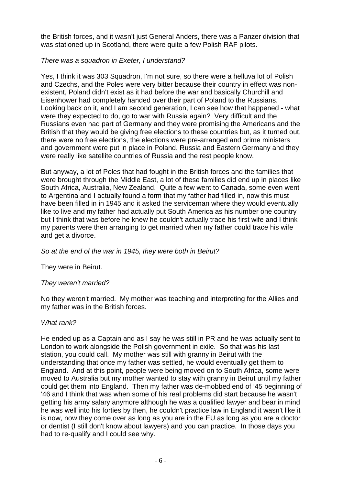the British forces, and it wasn't just General Anders, there was a Panzer division that was stationed up in Scotland, there were quite a few Polish RAF pilots.

### There was a squadron in Exeter, I understand?

Yes, I think it was 303 Squadron, I'm not sure, so there were a helluva lot of Polish and Czechs, and the Poles were very bitter because their country in effect was nonexistent, Poland didn't exist as it had before the war and basically Churchill and Eisenhower had completely handed over their part of Poland to the Russians. Looking back on it, and I am second generation, I can see how that happened - what were they expected to do, go to war with Russia again? Very difficult and the Russians even had part of Germany and they were promising the Americans and the British that they would be giving free elections to these countries but, as it turned out, there were no free elections, the elections were pre-arranged and prime ministers and government were put in place in Poland, Russia and Eastern Germany and they were really like satellite countries of Russia and the rest people know.

But anyway, a lot of Poles that had fought in the British forces and the families that were brought through the Middle East, a lot of these families did end up in places like South Africa, Australia, New Zealand. Quite a few went to Canada, some even went to Argentina and I actually found a form that my father had filled in, now this must have been filled in in 1945 and it asked the serviceman where they would eventually like to live and my father had actually put South America as his number one country but I think that was before he knew he couldn't actually trace his first wife and I think my parents were then arranging to get married when my father could trace his wife and get a divorce.

## So at the end of the war in 1945, they were both in Beirut?

They were in Beirut.

## They weren't married?

No they weren't married. My mother was teaching and interpreting for the Allies and my father was in the British forces.

### What rank?

He ended up as a Captain and as I say he was still in PR and he was actually sent to London to work alongside the Polish government in exile. So that was his last station, you could call. My mother was still with granny in Beirut with the understanding that once my father was settled, he would eventually get them to England. And at this point, people were being moved on to South Africa, some were moved to Australia but my mother wanted to stay with granny in Beirut until my father could get them into England. Then my father was de-mobbed end of '45 beginning of '46 and I think that was when some of his real problems did start because he wasn't getting his army salary anymore although he was a qualified lawyer and bear in mind he was well into his forties by then, he couldn't practice law in England it wasn't like it is now, now they come over as long as you are in the EU as long as you are a doctor or dentist (I still don't know about lawyers) and you can practice. In those days you had to re-qualify and I could see why.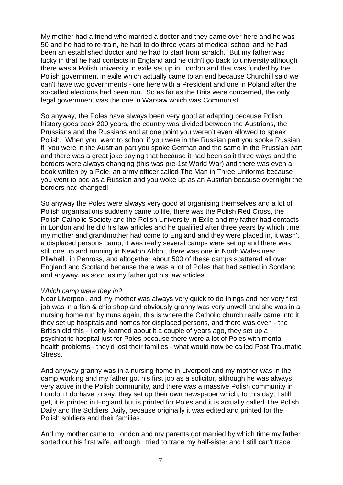My mother had a friend who married a doctor and they came over here and he was 50 and he had to re-train, he had to do three years at medical school and he had been an established doctor and he had to start from scratch. But my father was lucky in that he had contacts in England and he didn't go back to university although there was a Polish university in exile set up in London and that was funded by the Polish government in exile which actually came to an end because Churchill said we can't have two governments - one here with a President and one in Poland after the so-called elections had been run. So as far as the Brits were concerned, the only legal government was the one in Warsaw which was Communist.

So anyway, the Poles have always been very good at adapting because Polish history goes back 200 years, the country was divided between the Austrians, the Prussians and the Russians and at one point you weren't even allowed to speak Polish. When you went to school if you were in the Russian part you spoke Russian if you were in the Austrian part you spoke German and the same in the Prussian part and there was a great joke saying that because it had been split three ways and the borders were always changing (this was pre-1st World War) and there was even a book written by a Pole, an army officer called The Man in Three Uniforms because you went to bed as a Russian and you woke up as an Austrian because overnight the borders had changed!

So anyway the Poles were always very good at organising themselves and a lot of Polish organisations suddenly came to life, there was the Polish Red Cross, the Polish Catholic Society and the Polish University in Exile and my father had contacts in London and he did his law articles and he qualified after three years by which time my mother and grandmother had come to England and they were placed in, it wasn't a displaced persons camp, it was really several camps were set up and there was still one up and running in Newton Abbot, there was one in North Wales near Pllwhelli, in Penross, and altogether about 500 of these camps scattered all over England and Scotland because there was a lot of Poles that had settled in Scotland and anyway, as soon as my father got his law articles

### Which camp were they in?

Near Liverpool, and my mother was always very quick to do things and her very first job was in a fish & chip shop and obviously granny was very unwell and she was in a nursing home run by nuns again, this is where the Catholic church really came into it, they set up hospitals and homes for displaced persons, and there was even - the British did this - I only learned about it a couple of years ago, they set up a psychiatric hospital just for Poles because there were a lot of Poles with mental health problems - they'd lost their families - what would now be called Post Traumatic Stress.

And anyway granny was in a nursing home in Liverpool and my mother was in the camp working and my father got his first job as a solicitor, although he was always very active in the Polish community, and there was a massive Polish community in London I do have to say, they set up their own newspaper which, to this day, I still get, it is printed in England but is printed for Poles and it is actually called The Polish Daily and the Soldiers Daily, because originally it was edited and printed for the Polish soldiers and their families.

And my mother came to London and my parents got married by which time my father sorted out his first wife, although I tried to trace my half-sister and I still can't trace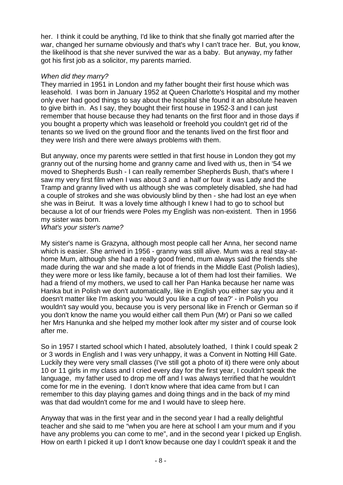her. I think it could be anything, I'd like to think that she finally got married after the war, changed her surname obviously and that's why I can't trace her. But, you know, the likelihood is that she never survived the war as a baby. But anyway, my father got his first job as a solicitor, my parents married.

### When did they marry?

They married in 1951 in London and my father bought their first house which was leasehold. I was born in January 1952 at Queen Charlotte's Hospital and my mother only ever had good things to say about the hospital she found it an absolute heaven to give birth in. As I say, they bought their first house in 1952-3 and I can just remember that house because they had tenants on the first floor and in those days if you bought a property which was leasehold or freehold you couldn't get rid of the tenants so we lived on the ground floor and the tenants lived on the first floor and they were Irish and there were always problems with them.

But anyway, once my parents were settled in that first house in London they got my granny out of the nursing home and granny came and lived with us, then in '54 we moved to Shepherds Bush - I can really remember Shepherds Bush, that's where I saw my very first film when I was about 3 and a half or four it was Lady and the Tramp and granny lived with us although she was completely disabled, she had had a couple of strokes and she was obviously blind by then - she had lost an eye when she was in Beirut. It was a lovely time although I knew I had to go to school but because a lot of our friends were Poles my English was non-existent. Then in 1956 my sister was born.

### What's your sister's name?

My sister's name is Grazyna, although most people call her Anna, her second name which is easier. She arrived in 1956 - granny was still alive. Mum was a real stay-athome Mum, although she had a really good friend, mum always said the friends she made during the war and she made a lot of friends in the Middle East (Polish ladies), they were more or less like family, because a lot of them had lost their families. We had a friend of my mothers, we used to call her Pan Hanka because her name was Hanka but in Polish we don't automatically, like in English you either say you and it doesn't matter like I'm asking you 'would you like a cup of tea?' - in Polish you wouldn't say would you, because you is very personal like in French or German so if you don't know the name you would either call them Pun (Mr) or Pani so we called her Mrs Hanunka and she helped my mother look after my sister and of course look after me.

So in 1957 I started school which I hated, absolutely loathed, I think I could speak 2 or 3 words in English and I was very unhappy, it was a Convent in Notting Hill Gate. Luckily they were very small classes (I've still got a photo of it) there were only about 10 or 11 girls in my class and I cried every day for the first year, I couldn't speak the language, my father used to drop me off and I was always terrified that he wouldn't come for me in the evening. I don't know where that idea came from but I can remember to this day playing games and doing things and in the back of my mind was that dad wouldn't come for me and I would have to sleep here.

Anyway that was in the first year and in the second year I had a really delightful teacher and she said to me "when you are here at school I am your mum and if you have any problems you can come to me", and in the second year I picked up English. How on earth I picked it up I don't know because one day I couldn't speak it and the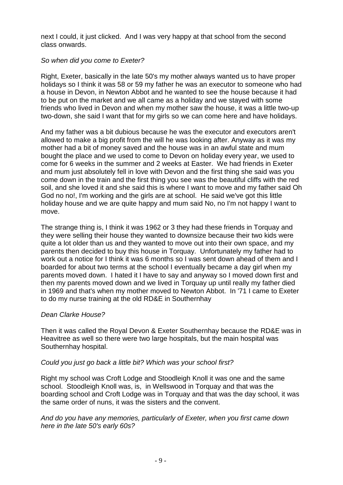next I could, it just clicked. And I was very happy at that school from the second class onwards.

### So when did you come to Exeter?

Right, Exeter, basically in the late 50's my mother always wanted us to have proper holidays so I think it was 58 or 59 my father he was an executor to someone who had a house in Devon, in Newton Abbot and he wanted to see the house because it had to be put on the market and we all came as a holiday and we stayed with some friends who lived in Devon and when my mother saw the house, it was a little two-up two-down, she said I want that for my girls so we can come here and have holidays.

And my father was a bit dubious because he was the executor and executors aren't allowed to make a big profit from the will he was looking after. Anyway as it was my mother had a bit of money saved and the house was in an awful state and mum bought the place and we used to come to Devon on holiday every year, we used to come for 6 weeks in the summer and 2 weeks at Easter. We had friends in Exeter and mum just absolutely fell in love with Devon and the first thing she said was you come down in the train and the first thing you see was the beautiful cliffs with the red soil, and she loved it and she said this is where I want to move and my father said Oh God no no!, I'm working and the girls are at school. He said we've got this little holiday house and we are quite happy and mum said No, no I'm not happy I want to move.

The strange thing is, I think it was 1962 or 3 they had these friends in Torquay and they were selling their house they wanted to downsize because their two kids were quite a lot older than us and they wanted to move out into their own space, and my parents then decided to buy this house in Torquay. Unfortunately my father had to work out a notice for I think it was 6 months so I was sent down ahead of them and I boarded for about two terms at the school I eventually became a day girl when my parents moved down. I hated it I have to say and anyway so I moved down first and then my parents moved down and we lived in Torquay up until really my father died in 1969 and that's when my mother moved to Newton Abbot. In '71 I came to Exeter to do my nurse training at the old RD&E in Southernhay

## Dean Clarke House?

Then it was called the Royal Devon & Exeter Southernhay because the RD&E was in Heavitree as well so there were two large hospitals, but the main hospital was Southernhay hospital.

## Could you just go back a little bit? Which was your school first?

Right my school was Croft Lodge and Stoodleigh Knoll it was one and the same school. Stoodleigh Knoll was, is, in Wellswood in Torquay and that was the boarding school and Croft Lodge was in Torquay and that was the day school, it was the same order of nuns, it was the sisters and the convent.

And do you have any memories, particularly of Exeter, when you first came down here in the late 50's early 60s?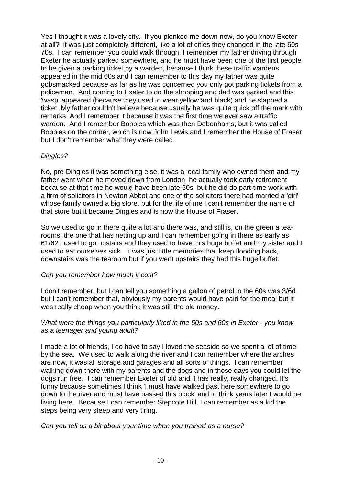Yes I thought it was a lovely city. If you plonked me down now, do you know Exeter at all? it was just completely different, like a lot of cities they changed in the late 60s 70s. I can remember you could walk through, I remember my father driving through Exeter he actually parked somewhere, and he must have been one of the first people to be given a parking ticket by a warden, because I think these traffic wardens appeared in the mid 60s and I can remember to this day my father was quite gobsmacked because as far as he was concerned you only got parking tickets from a policeman. And coming to Exeter to do the shopping and dad was parked and this 'wasp' appeared (because they used to wear yellow and black) and he slapped a ticket. My father couldn't believe because usually he was quite quick off the mark with remarks. And I remember it because it was the first time we ever saw a traffic warden. And I remember Bobbies which was then Debenhams, but it was called Bobbies on the corner, which is now John Lewis and I remember the House of Fraser but I don't remember what they were called.

## Dingles?

No, pre-Dingles it was something else, it was a local family who owned them and my father went when he moved down from London, he actually took early retirement because at that time he would have been late 50s, but he did do part-time work with a firm of solicitors in Newton Abbot and one of the solicitors there had married a 'girl' whose family owned a big store, but for the life of me I can't remember the name of that store but it became Dingles and is now the House of Fraser.

So we used to go in there quite a lot and there was, and still is, on the green a tearooms, the one that has netting up and I can remember going in there as early as 61/62 I used to go upstairs and they used to have this huge buffet and my sister and I used to eat ourselves sick. It was just little memories that keep flooding back, downstairs was the tearoom but if you went upstairs they had this huge buffet.

## Can you remember how much it cost?

I don't remember, but I can tell you something a gallon of petrol in the 60s was 3/6d but I can't remember that, obviously my parents would have paid for the meal but it was really cheap when you think it was still the old money.

### What were the things you particularly liked in the 50s and 60s in Exeter - you know as a teenager and young adult?

I made a lot of friends, I do have to say I loved the seaside so we spent a lot of time by the sea. We used to walk along the river and I can remember where the arches are now, it was all storage and garages and all sorts of things. I can remember walking down there with my parents and the dogs and in those days you could let the dogs run free. I can remember Exeter of old and it has really, really changed. It's funny because sometimes I think 'I must have walked past here somewhere to go down to the river and must have passed this block' and to think years later I would be living here. Because I can remember Stepcote Hill, I can remember as a kid the steps being very steep and very tiring.

Can you tell us a bit about your time when you trained as a nurse?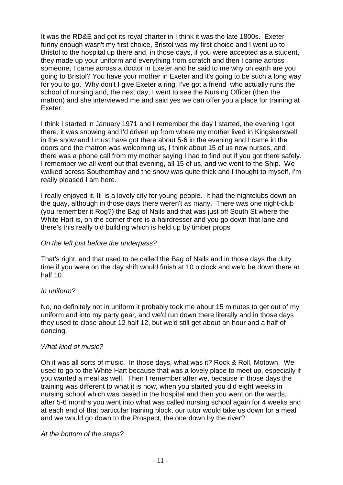It was the RD&E and got its royal charter in I think it was the late 1800s. Exeter funny enough wasn't my first choice, Bristol was my first choice and I went up to Bristol to the hospital up there and, in those days, if you were accepted as a student, they made up your uniform and everything from scratch and then I came across someone, I came across a doctor in Exeter and he said to me why on earth are you going to Bristol? You have your mother in Exeter and it's going to be such a long way for you to go. Why don't I give Exeter a ring, I've got a friend who actually runs the school of nursing and, the next day, I went to see the Nursing Officer (then the matron) and she interviewed me and said yes we can offer you a place for training at Exeter.

I think I started in January 1971 and I remember the day I started, the evening I got there, it was snowing and I'd driven up from where my mother lived in Kingskerswell in the snow and I must have got there about 5-6 in the evening and I came in the doors and the matron was welcoming us, I think about 15 of us new nurses, and there was a phone call from my mother saying I had to find out if you got there safely. I remember we all went out that evening, all 15 of us, and we went to the Ship. We walked across Southernhay and the snow was quite thick and I thought to myself, I'm really pleased I am here.

I really enjoyed it. It is a lovely city for young people. It had the nightclubs down on the quay, although in those days there weren't as many. There was one night-club (you remember it Rog?) the Bag of Nails and that was just off South St where the White Hart is, on the corner there is a hairdresser and you go down that lane and there's this really old building which is held up by timber props

### On the left just before the underpass?

That's right, and that used to be called the Bag of Nails and in those days the duty time if you were on the day shift would finish at 10 o'clock and we'd be down there at half 10.

### In uniform?

No, no definitely not in uniform it probably took me about 15 minutes to get out of my uniform and into my party gear, and we'd run down there literally and in those days they used to close about 12 half 12, but we'd still get about an hour and a half of dancing.

### What kind of music?

Oh it was all sorts of music. In those days, what was it? Rock & Roll, Motown. We used to go to the White Hart because that was a lovely place to meet up, especially if you wanted a meal as well. Then I remember after we, because in those days the training was different to what it is now, when you started you did eight weeks in nursing school which was based in the hospital and then you went on the wards, after 5-6 months you went into what was called nursing school again for 4 weeks and at each end of that particular training block, our tutor would take us down for a meal and we would go down to the Prospect, the one down by the river?

### At the bottom of the steps?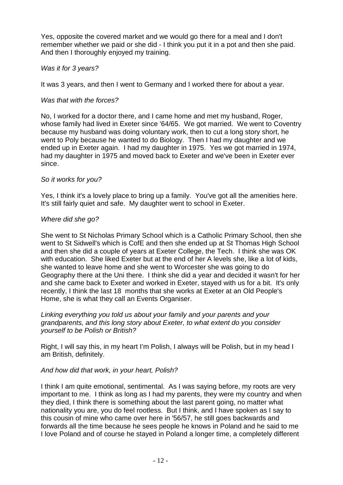Yes, opposite the covered market and we would go there for a meal and I don't remember whether we paid or she did - I think you put it in a pot and then she paid. And then I thoroughly enjoyed my training.

### Was it for 3 years?

It was 3 years, and then I went to Germany and I worked there for about a year.

### Was that with the forces?

No, I worked for a doctor there, and I came home and met my husband, Roger, whose family had lived in Exeter since '64/65. We got married. We went to Coventry because my husband was doing voluntary work, then to cut a long story short, he went to Poly because he wanted to do Biology. Then I had my daughter and we ended up in Exeter again. I had my daughter in 1975. Yes we got married in 1974, had my daughter in 1975 and moved back to Exeter and we've been in Exeter ever since.

### So it works for you?

Yes, I think it's a lovely place to bring up a family. You've got all the amenities here. It's still fairly quiet and safe. My daughter went to school in Exeter.

### Where did she go?

She went to St Nicholas Primary School which is a Catholic Primary School, then she went to St Sidwell's which is CofE and then she ended up at St Thomas High School and then she did a couple of years at Exeter College, the Tech. I think she was OK with education. She liked Exeter but at the end of her A levels she, like a lot of kids, she wanted to leave home and she went to Worcester she was going to do Geography there at the Uni there. I think she did a year and decided it wasn't for her and she came back to Exeter and worked in Exeter, stayed with us for a bit. It's only recently, I think the last 18 months that she works at Exeter at an Old People's Home, she is what they call an Events Organiser.

Linking everything you told us about your family and your parents and your grandparents, and this long story about Exeter, to what extent do you consider yourself to be Polish or British?

Right, I will say this, in my heart I'm Polish, I always will be Polish, but in my head I am British, definitely.

### And how did that work, in your heart, Polish?

I think I am quite emotional, sentimental. As I was saying before, my roots are very important to me. I think as long as I had my parents, they were my country and when they died, I think there is something about the last parent going, no matter what nationality you are, you do feel rootless. But I think, and I have spoken as I say to this cousin of mine who came over here in '56/57, he still goes backwards and forwards all the time because he sees people he knows in Poland and he said to me I love Poland and of course he stayed in Poland a longer time, a completely different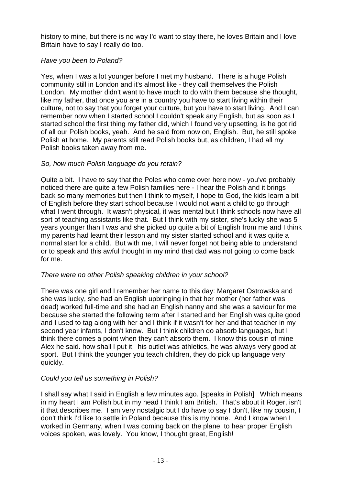history to mine, but there is no way I'd want to stay there, he loves Britain and I love Britain have to say I really do too.

## Have you been to Poland?

Yes, when I was a lot younger before I met my husband. There is a huge Polish community still in London and it's almost like - they call themselves the Polish London. My mother didn't want to have much to do with them because she thought, like my father, that once you are in a country you have to start living within their culture, not to say that you forget your culture, but you have to start living. And I can remember now when I started school I couldn't speak any English, but as soon as I started school the first thing my father did, which I found very upsetting, is he got rid of all our Polish books, yeah. And he said from now on, English. But, he still spoke Polish at home. My parents still read Polish books but, as children, I had all my Polish books taken away from me.

# So, how much Polish language do you retain?

Quite a bit. I have to say that the Poles who come over here now - you've probably noticed there are quite a few Polish families here - I hear the Polish and it brings back so many memories but then I think to myself, I hope to God, the kids learn a bit of English before they start school because I would not want a child to go through what I went through. It wasn't physical, it was mental but I think schools now have all sort of teaching assistants like that. But I think with my sister, she's lucky she was 5 years younger than I was and she picked up quite a bit of English from me and I think my parents had learnt their lesson and my sister started school and it was quite a normal start for a child. But with me, I will never forget not being able to understand or to speak and this awful thought in my mind that dad was not going to come back for me.

## There were no other Polish speaking children in your school?

There was one girl and I remember her name to this day: Margaret Ostrowska and she was lucky, she had an English upbringing in that her mother (her father was dead) worked full-time and she had an English nanny and she was a saviour for me because she started the following term after I started and her English was quite good and I used to tag along with her and I think if it wasn't for her and that teacher in my second year infants, I don't know. But I think children do absorb languages, but I think there comes a point when they can't absorb them. I know this cousin of mine Alex he said. how shall I put it, his outlet was athletics, he was always very good at sport. But I think the younger you teach children, they do pick up language very quickly.

# Could you tell us something in Polish?

I shall say what I said in English a few minutes ago. [speaks in Polish] Which means in my heart I am Polish but in my head I think I am British. That's about it Roger, isn't it that describes me. I am very nostalgic but I do have to say I don't, like my cousin, I don't think I'd like to settle in Poland because this is my home. And I know when I worked in Germany, when I was coming back on the plane, to hear proper English voices spoken, was lovely. You know, I thought great, English!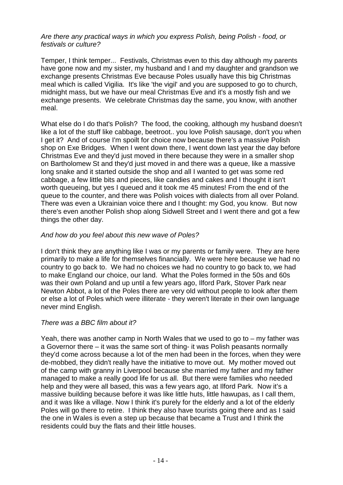### Are there any practical ways in which you express Polish, being Polish - food, or festivals or culture?

Temper, I think temper... Festivals, Christmas even to this day although my parents have gone now and my sister, my husband and I and my daughter and grandson we exchange presents Christmas Eve because Poles usually have this big Christmas meal which is called Vigilia. It's like 'the vigil' and you are supposed to go to church, midnight mass, but we have our meal Christmas Eve and it's a mostly fish and we exchange presents. We celebrate Christmas day the same, you know, with another meal.

What else do I do that's Polish? The food, the cooking, although my husband doesn't like a lot of the stuff like cabbage, beetroot.. you love Polish sausage, don't you when I get it? And of course I'm spoilt for choice now because there's a massive Polish shop on Exe Bridges. When I went down there, I went down last year the day before Christmas Eve and they'd just moved in there because they were in a smaller shop on Bartholomew St and they'd just moved in and there was a queue, like a massive long snake and it started outside the shop and all I wanted to get was some red cabbage, a few little bits and pieces, like candies and cakes and I thought it isn't worth queueing, but yes I queued and it took me 45 minutes! From the end of the queue to the counter, and there was Polish voices with dialects from all over Poland. There was even a Ukrainian voice there and I thought: my God, you know. But now there's even another Polish shop along Sidwell Street and I went there and got a few things the other day.

### And how do you feel about this new wave of Poles?

I don't think they are anything like I was or my parents or family were. They are here primarily to make a life for themselves financially. We were here because we had no country to go back to. We had no choices we had no country to go back to, we had to make England our choice, our land. What the Poles formed in the 50s and 60s was their own Poland and up until a few years ago, Ilford Park, Stover Park near Newton Abbot, a lot of the Poles there are very old without people to look after them or else a lot of Poles which were illiterate - they weren't literate in their own language never mind English.

## There was a BBC film about it?

Yeah, there was another camp in North Wales that we used to go to – my father was a Governor there – it was the same sort of thing- it was Polish peasants normally they'd come across because a lot of the men had been in the forces, when they were de-mobbed, they didn't really have the initiative to move out. My mother moved out of the camp with granny in Liverpool because she married my father and my father managed to make a really good life for us all. But there were families who needed help and they were all based, this was a few years ago, at Ilford Park. Now it's a massive building because before it was like little huts, little hawupas, as I call them, and it was like a village. Now I think it's purely for the elderly and a lot of the elderly Poles will go there to retire. I think they also have tourists going there and as I said the one in Wales is even a step up because that became a Trust and I think the residents could buy the flats and their little houses.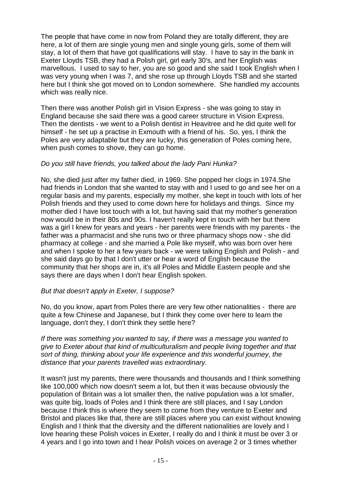The people that have come in now from Poland they are totally different, they are here, a lot of them are single young men and single young girls, some of them will stay, a lot of them that have got qualifications will stay. I have to say in the bank in Exeter Lloyds TSB, they had a Polish girl, girl early 30's, and her English was marvellous. I used to say to her, you are so good and she said I took English when I was very young when I was 7, and she rose up through Lloyds TSB and she started here but I think she got moved on to London somewhere. She handled my accounts which was really nice.

Then there was another Polish girl in Vision Express - she was going to stay in England because she said there was a good career structure in Vision Express. Then the dentists - we went to a Polish dentist in Heavitree and he did quite well for himself - he set up a practise in Exmouth with a friend of his. So, yes, I think the Poles are very adaptable but they are lucky, this generation of Poles coming here, when push comes to shove, they can go home.

### Do you still have friends, you talked about the lady Pani Hunka?

No, she died just after my father died, in 1969. She popped her clogs in 1974.She had friends in London that she wanted to stay with and I used to go and see her on a regular basis and my parents, especially my mother, she kept in touch with lots of her Polish friends and they used to come down here for holidays and things. Since my mother died I have lost touch with a lot, but having said that my mother's generation now would be in their 80s and 90s. I haven't really kept in touch with her but there was a girl I knew for years and years - her parents were friends with my parents - the father was a pharmacist and she runs two or three pharmacy shops now - she did pharmacy at college - and she married a Pole like myself, who was born over here and when I spoke to her a few years back - we were talking English and Polish - and she said days go by that I don't utter or hear a word of English because the community that her shops are in, it's all Poles and Middle Eastern people and she says there are days when I don't hear English spoken.

### But that doesn't apply in Exeter, I suppose?

No, do you know, apart from Poles there are very few other nationalities - there are quite a few Chinese and Japanese, but I think they come over here to learn the language, don't they, I don't think they settle here?

If there was something you wanted to say, if there was a message you wanted to give to Exeter about that kind of multiculturalism and people living together and that sort of thing, thinking about your life experience and this wonderful journey, the distance that your parents travelled was extraordinary.

It wasn't just my parents, there were thousands and thousands and I think something like 100,000 which now doesn't seem a lot, but then it was because obviously the population of Britain was a lot smaller then, the native population was a lot smaller, was quite big, loads of Poles and I think there are still places, and I say London because I think this is where they seem to come from they venture to Exeter and Bristol and places like that, there are still places where you can exist without knowing English and I think that the diversity and the different nationalities are lovely and I love hearing these Polish voices in Exeter, I really do and I think it must be over 3 or 4 years and I go into town and I hear Polish voices on average 2 or 3 times whether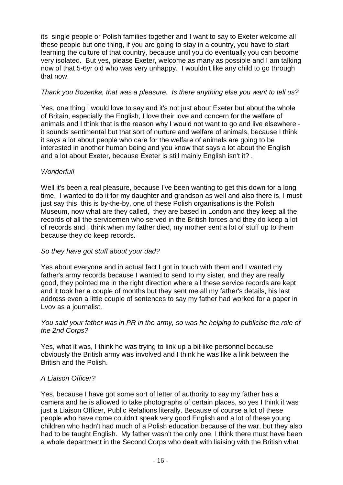its single people or Polish families together and I want to say to Exeter welcome all these people but one thing, if you are going to stay in a country, you have to start learning the culture of that country, because until you do eventually you can become very isolated. But yes, please Exeter, welcome as many as possible and I am talking now of that 5-6yr old who was very unhappy. I wouldn't like any child to go through that now.

## Thank you Bozenka, that was a pleasure. Is there anything else you want to tell us?

Yes, one thing I would love to say and it's not just about Exeter but about the whole of Britain, especially the English, I love their love and concern for the welfare of animals and I think that is the reason why I would not want to go and live elsewhere it sounds sentimental but that sort of nurture and welfare of animals, because I think it says a lot about people who care for the welfare of animals are going to be interested in another human being and you know that says a lot about the English and a lot about Exeter, because Exeter is still mainly English isn't it? .

# Wonderful!

Well it's been a real pleasure, because I've been wanting to get this down for a long time. I wanted to do it for my daughter and grandson as well and also there is, I must just say this, this is by-the-by, one of these Polish organisations is the Polish Museum, now what are they called, they are based in London and they keep all the records of all the servicemen who served in the British forces and they do keep a lot of records and I think when my father died, my mother sent a lot of stuff up to them because they do keep records.

## So they have got stuff about your dad?

Yes about everyone and in actual fact I got in touch with them and I wanted my father's army records because I wanted to send to my sister, and they are really good, they pointed me in the right direction where all these service records are kept and it took her a couple of months but they sent me all my father's details, his last address even a little couple of sentences to say my father had worked for a paper in Lvov as a journalist.

### You said your father was in PR in the army, so was he helping to publicise the role of the 2nd Corps?

Yes, what it was, I think he was trying to link up a bit like personnel because obviously the British army was involved and I think he was like a link between the British and the Polish.

## A Liaison Officer?

Yes, because I have got some sort of letter of authority to say my father has a camera and he is allowed to take photographs of certain places, so yes I think it was just a Liaison Officer, Public Relations literally. Because of course a lot of these people who have come couldn't speak very good English and a lot of these young children who hadn't had much of a Polish education because of the war, but they also had to be taught English. My father wasn't the only one, I think there must have been a whole department in the Second Corps who dealt with liaising with the British what